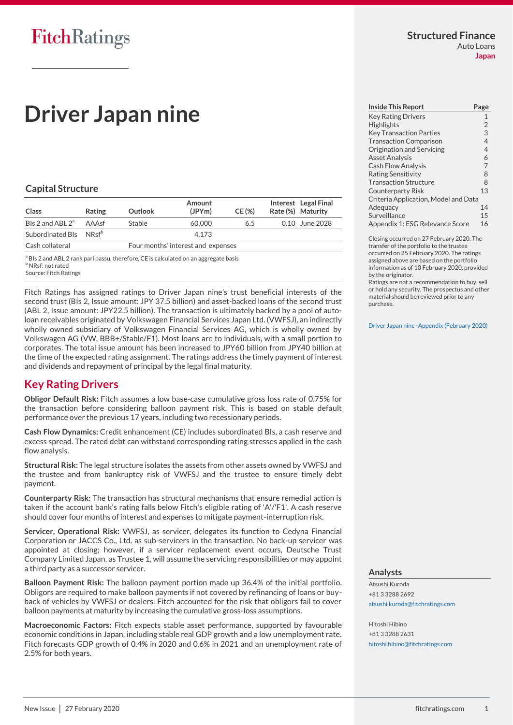# **Driver Japan nine**

# **Capital Structure**

| Class                              | <b>Rating</b> | Outlook | Amount<br>(JPYm)                   | CE(%) | Interest Legal Final<br>Rate (%) Maturity |
|------------------------------------|---------------|---------|------------------------------------|-------|-------------------------------------------|
| BIs 2 and ABL $2^a$                | AAAsf         | Stable  | 60,000                             | 6.5   | 0.10 June 2028                            |
| Subordinated Bls NRsf <sup>b</sup> |               |         | 4.173                              |       |                                           |
| Cash collateral                    |               |         | Four months' interest and expenses |       |                                           |

<sup>a</sup> BIs 2 and ABL 2 rank pari passu, therefore, CE is calculated on an aggregate basis **b** NRsf: not rated

Source: Fitch Ratings

Fitch Ratings has assigned ratings to Driver Japan nine's trust beneficial interests of the second trust (BIs 2, Issue amount: JPY 37.5 billion) and asset-backed loans of the second trust (ABL 2, Issue amount: JPY22.5 billion). The transaction is ultimately backed by a pool of autoloan receivables originated by Volkswagen Financial Services Japan Ltd. (VWFSJ), an indirectly wholly owned subsidiary of Volkswagen Financial Services AG, which is wholly owned by Volkswagen AG (VW, BBB+/Stable/F1). Most loans are to individuals, with a small portion to corporates. The total issue amount has been increased to JPY60 billion from JPY40 billion at the time of the expected rating assignment. The ratings address the timely payment of interest and dividends and repayment of principal by the legal final maturity.

# <span id="page-0-0"></span>**Key Rating Drivers**

**Obligor Default Risk:** Fitch assumes a low base-case cumulative gross loss rate of 0.75% for the transaction before considering balloon payment risk. This is based on stable default performance over the previous 17 years, including two recessionary periods.

**Cash Flow Dynamics:** Credit enhancement (CE) includes subordinated BIs, a cash reserve and excess spread. The rated debt can withstand corresponding rating stresses applied in the cash flow analysis.

**Structural Risk:** The legal structure isolates the assets from other assets owned by VWFSJ and the trustee and from bankruptcy risk of VWFSJ and the trustee to ensure timely debt payment.

**Counterparty Risk:** The transaction has structural mechanisms that ensure remedial action is taken if the account bank's rating falls below Fitch's eligible rating of 'A'/'F1'. A cash reserve should cover four months of interest and expenses to mitigate payment-interruption risk.

**Servicer, Operational Risk:** VWFSJ, as servicer, delegates its function to Cedyna Financial Corporation or JACCS Co., Ltd. as sub-servicers in the transaction. No back-up servicer was appointed at closing; however, if a servicer replacement event occurs, Deutsche Trust Company Limited Japan, as Trustee 1, will assume the servicing responsibilities or may appoint a third party as a successor servicer.

**Balloon Payment Risk:** The balloon payment portion made up 36.4% of the initial portfolio. Obligors are required to make balloon payments if not covered by refinancing of loans or buyback of vehicles by VWFSJ or dealers. Fitch accounted for the risk that obligors fail to cover balloon payments at maturity by increasing the cumulative gross-loss assumptions.

**Macroeconomic Factors:** Fitch expects stable asset performance, supported by favourable economic conditions in Japan, including stable real GDP growth and a low unemployment rate. Fitch forecasts GDP growth of 0.4% in 2020 and 0.6% in 2021 and an unemployment rate of 2.5% for both years.

| <b>Inside This Report</b>            | Page           |
|--------------------------------------|----------------|
| <b>Key Rating Drivers</b>            | $\mathbf{1}$   |
| <b>Highlights</b>                    | $\overline{2}$ |
| <b>Key Transaction Parties</b>       | 3              |
| <b>Transaction Comparison</b>        | $\overline{4}$ |
| Origination and Servicing            | $\overline{4}$ |
| <b>Asset Analysis</b>                | 6              |
| <b>Cash Flow Analysis</b>            | $\overline{7}$ |
| <b>Rating Sensitivity</b>            | 8              |
| <b>Transaction Structure</b>         | 8              |
| <b>Counterparty Risk</b>             | 13             |
| Criteria Application, Model and Data |                |
| Adequacy                             | 14             |
| Surveillance                         | 15             |
| Appendix 1: ESG Relevance Score      | 16             |

Closing occurred on 27 February 2020. The transfer of the portfolio to the trustee occurred on 25 February 2020. The ratings assigned above are based on the portfolio information as of 10 February 2020, provided by the originator.

Ratings are not a recommendation to buy, sell or hold any security. The prospectus and other material should be reviewed prior to any purchase.

[Driver Japan nine -Appendix \(February](https://app.fitchconnect.com/search/research/article/RPT_10112445) 2020)

## **Analysts**

Atsushi Kuroda +81 3 3288 2692 [atsushi.kuroda@fitchratings.com](mailto:atsushi.kuroda@fitchratings.com)

Hitoshi Hibino +81 3 3288 2631 [hitoshi.hibino@fitchratings.com](mailto:hitoshi.hibino@fitchratings.com)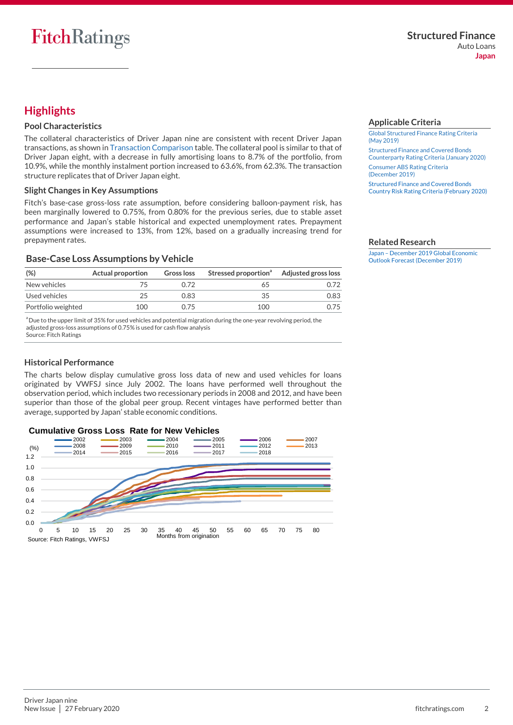# <span id="page-1-0"></span>**Highlights**

## **Pool Characteristics**

The collateral characteristics of Driver Japan nine are consistent with recent Driver Japan transactions, as shown in [Transaction Comparison](#page-3-0) table. The collateral pool is similar to that of Driver Japan eight, with a decrease in fully amortising loans to 8.7% of the portfolio, from 10.9%, while the monthly instalment portion increased to 63.6%, from 62.3%. The transaction structure replicates that of Driver Japan eight.

## **Slight Changes in Key Assumptions**

Fitch's base-case gross-loss rate assumption, before considering balloon-payment risk, has been marginally lowered to 0.75%, from 0.80% for the previous series, due to stable asset performance and Japan's stable historical and expected unemployment rates. Prepayment assumptions were increased to 13%, from 12%, based on a gradually increasing trend for prepayment rates.

# **Base-Case Loss Assumptions by Vehicle**

| (%)                | Actual proportion | Gross loss | Stressed proportion <sup>a</sup> Adjusted gross loss |      |
|--------------------|-------------------|------------|------------------------------------------------------|------|
| New vehicles       |                   | O 72       |                                                      |      |
| Used vehicles      | つら                | 0.83       | 35                                                   | 0.83 |
| Portfolio weighted | 100               | በ 75       | 100                                                  | -75  |

<sup>a</sup> Due to the upper limit of 35% for used vehicles and potential migration during the one-year revolving period, the adjusted gross-loss assumptions of 0.75% is used for cash flow analysis Source: Fitch Ratings

## **Historical Performance**

The charts below display cumulative gross loss data of new and used vehicles for loans originated by VWFSJ since July 2002. The loans have performed well throughout the observation period, which includes two recessionary periods in 2008 and 2012, and have been superior than those of the global peer group. Recent vintages have performed better than average, supported by Japan' stable economic conditions.



#### <span id="page-1-1"></span>**Applicable Criteria**

[Global Structured Finance Rating Criteria](https://app.fitchconnect.com/search/research/article/RPT_10073280)  [\(May 2019\)](https://app.fitchconnect.com/search/research/article/RPT_10073280) [Structured Finance and Covered Bonds](https://app.fitchconnect.com/search/research/article/RPT_10108544)  [Counterparty Rating Criteria \(January](https://app.fitchconnect.com/search/research/article/RPT_10108544) 2020) [Consumer ABS Rating Criteria](https://app.fitchconnect.com/search/research/article/RPT_10101290)  [\(December](https://app.fitchconnect.com/search/research/article/RPT_10101290) 2019) [Structured Finance and Covered Bonds](https://app.fitchconnect.com/search/research/article/RPT_10108983)  [Country Risk Rating Criteria \(February 2020\)](https://app.fitchconnect.com/search/research/article/RPT_10108983)

#### **Related Research**

Japan – [December 2019 Global Economic](https://app.fitchconnect.com/search/research/article/RPT_10104486)  [Outlook Forecast \(December 2019\)](https://app.fitchconnect.com/search/research/article/RPT_10104486)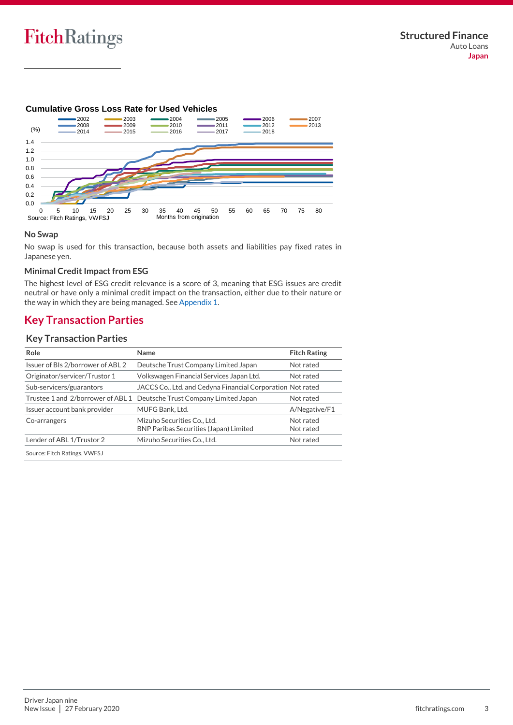# **Cumulative Gross Loss Rate for Used Vehicles**



#### **No Swap**

No swap is used for this transaction, because both assets and liabilities pay fixed rates in Japanese yen.

# **Minimal Credit Impact from ESG**

The highest level of ESG credit relevance is a score of 3, meaning that ESG issues are credit neutral or have only a minimal credit impact on the transaction, either due to their nature or the way in which they are being managed. Se[e Appendix 1.](#page-15-0)

# <span id="page-2-0"></span>**Key Transaction Parties**

# **Key Transaction Parties**

| Role                              | Name                                                                         | <b>Fitch Rating</b>    |
|-----------------------------------|------------------------------------------------------------------------------|------------------------|
| Issuer of BIs 2/borrower of ABL 2 | Deutsche Trust Company Limited Japan                                         | Not rated              |
| Originator/servicer/Trustor 1     | Volkswagen Financial Services Japan Ltd.                                     | Not rated              |
| Sub-servicers/guarantors          | JACCS Co., Ltd. and Cedyna Financial Corporation Not rated                   |                        |
| Trustee 1 and 2/borrower of ABL 1 | Deutsche Trust Company Limited Japan                                         | Not rated              |
| Issuer account bank provider      | MUFG Bank, Ltd.                                                              | A/Negative/F1          |
| Co-arrangers                      | Mizuho Securities Co., Ltd.<br><b>BNP Paribas Securities (Japan) Limited</b> | Not rated<br>Not rated |
| Lender of ABL 1/Trustor 2         | Mizuho Securities Co., Ltd.                                                  | Not rated              |
| Source: Fitch Ratings, VWFSJ      |                                                                              |                        |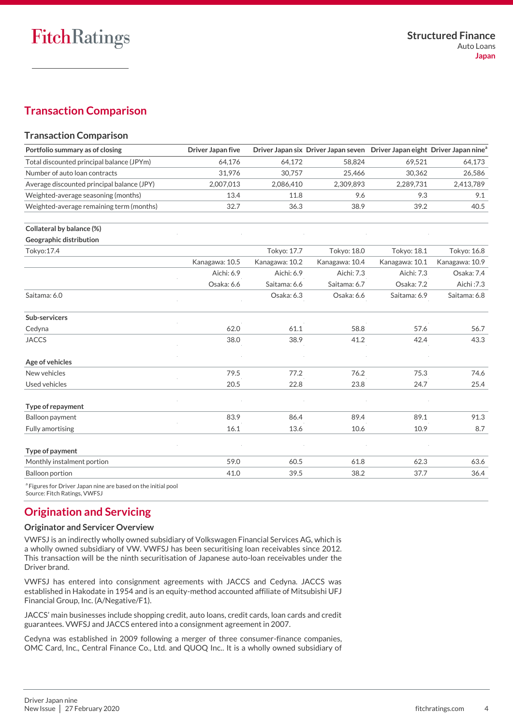# <span id="page-3-0"></span>**Transaction Comparison**

# **Transaction Comparison**

| Portfolio summary as of closing                                                                          | <b>Driver Japan five</b> |                | Driver Japan six Driver Japan seven Driver Japan eight Driver Japan nine <sup>a</sup> |                |                |
|----------------------------------------------------------------------------------------------------------|--------------------------|----------------|---------------------------------------------------------------------------------------|----------------|----------------|
| Total discounted principal balance (JPYm)                                                                | 64.176                   | 64.172         | 58,824                                                                                | 69,521         | 64,173         |
| Number of auto loan contracts                                                                            | 31,976                   | 30,757         | 25,466                                                                                | 30,362         | 26,586         |
| Average discounted principal balance (JPY)                                                               | 2,007,013                | 2,086,410      | 2,309,893                                                                             | 2,289,731      | 2,413,789      |
| Weighted-average seasoning (months)                                                                      | 13.4                     | 11.8           | 9.6                                                                                   | 9.3            | 9.1            |
| Weighted-average remaining term (months)                                                                 | 32.7                     | 36.3           | 38.9                                                                                  | 39.2           | 40.5           |
| Collateral by balance (%)                                                                                |                          |                |                                                                                       |                |                |
| Geographic distribution                                                                                  |                          |                |                                                                                       |                |                |
| Tokyo: 17.4                                                                                              |                          | Tokyo: 17.7    | Tokyo: 18.0                                                                           | Tokyo: 18.1    | Tokyo: 16.8    |
|                                                                                                          | Kanagawa: 10.5           | Kanagawa: 10.2 | Kanagawa: 10.4                                                                        | Kanagawa: 10.1 | Kanagawa: 10.9 |
|                                                                                                          | Aichi: 6.9               | Aichi: 6.9     | Aichi: 7.3                                                                            | Aichi: 7.3     | Osaka: 7.4     |
|                                                                                                          | Osaka: 6.6               | Saitama: 6.6   | Saitama: 6.7                                                                          | Osaka: 7.2     | Aichi: 7.3     |
| Saitama: 6.0                                                                                             |                          | Osaka: 6.3     | Osaka: 6.6                                                                            | Saitama: 6.9   | Saitama: 6.8   |
| Sub-servicers                                                                                            |                          |                |                                                                                       |                |                |
| Cedyna                                                                                                   | 62.0                     | 61.1           | 58.8                                                                                  | 57.6           | 56.7           |
| <b>JACCS</b>                                                                                             | 38.0                     | 38.9           | 41.2                                                                                  | 42.4           | 43.3           |
| Age of vehicles                                                                                          |                          |                |                                                                                       |                |                |
| New vehicles                                                                                             | 79.5                     | 77.2           | 76.2                                                                                  | 75.3           | 74.6           |
| Used vehicles                                                                                            | 20.5                     | 22.8           | 23.8                                                                                  | 24.7           | 25.4           |
| Type of repayment                                                                                        |                          |                |                                                                                       |                |                |
| Balloon payment                                                                                          | 83.9                     | 86.4           | 89.4                                                                                  | 89.1           | 91.3           |
| <b>Fully amortising</b>                                                                                  | 16.1                     | 13.6           | 10.6                                                                                  | 10.9           | 8.7            |
| Type of payment                                                                                          |                          |                |                                                                                       |                |                |
| Monthly instalment portion                                                                               | 59.0                     | 60.5           | 61.8                                                                                  | 62.3           | 63.6           |
| <b>Balloon portion</b>                                                                                   | 41.0                     | 39.5           | 38.2                                                                                  | 37.7           | 36.4           |
| <sup>a</sup> Figures for Driver Japan nine are based on the initial pool<br>Source: Fitch Ratings, VWFSJ |                          |                |                                                                                       |                |                |

<span id="page-3-1"></span>**Origination and Servicing**

# **Originator and Servicer Overview**

VWFSJ is an indirectly wholly owned subsidiary of Volkswagen Financial Services AG, which is a wholly owned subsidiary of VW. VWFSJ has been securitising loan receivables since 2012. This transaction will be the ninth securitisation of Japanese auto-loan receivables under the Driver brand.

VWFSJ has entered into consignment agreements with JACCS and Cedyna. JACCS was established in Hakodate in 1954 and is an equity-method accounted affiliate of Mitsubishi UFJ Financial Group, Inc. (A/Negative/F1).

JACCS' main businesses include shopping credit, auto loans, credit cards, loan cards and credit guarantees. VWFSJ and JACCS entered into a consignment agreement in 2007.

Cedyna was established in 2009 following a merger of three consumer-finance companies, OMC Card, Inc., Central Finance Co., Ltd. and QUOQ Inc.. It is a wholly owned subsidiary of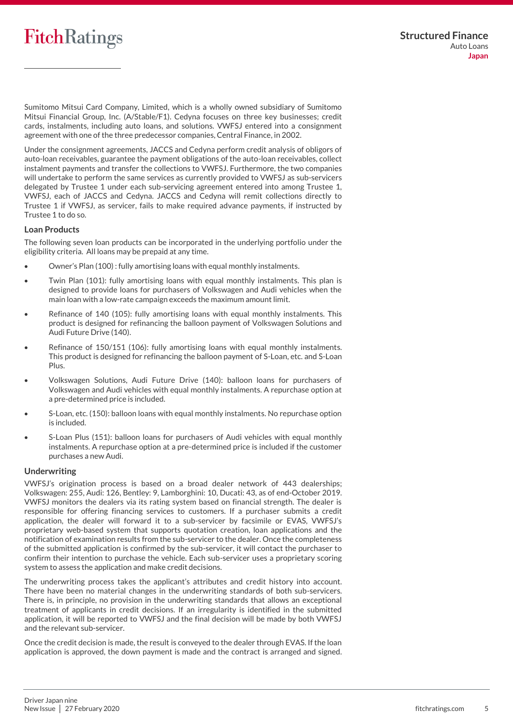Sumitomo Mitsui Card Company, Limited, which is a wholly owned subsidiary of Sumitomo Mitsui Financial Group, Inc. (A/Stable/F1). Cedyna focuses on three key businesses; credit cards, instalments, including auto loans, and solutions. VWFSJ entered into a consignment agreement with one of the three predecessor companies, Central Finance, in 2002.

Under the consignment agreements, JACCS and Cedyna perform credit analysis of obligors of auto-loan receivables, guarantee the payment obligations of the auto-loan receivables, collect instalment payments and transfer the collections to VWFSJ. Furthermore, the two companies will undertake to perform the same services as currently provided to VWFSJ as sub-servicers delegated by Trustee 1 under each sub-servicing agreement entered into among Trustee 1, VWFSJ, each of JACCS and Cedyna. JACCS and Cedyna will remit collections directly to Trustee 1 if VWFSJ, as servicer, fails to make required advance payments, if instructed by Trustee 1 to do so.

## **Loan Products**

The following seven loan products can be incorporated in the underlying portfolio under the eligibility criteria. All loans may be prepaid at any time.

- Owner's Plan (100) : fully amortising loans with equal monthly instalments.
- Twin Plan (101): fully amortising loans with equal monthly instalments. This plan is designed to provide loans for purchasers of Volkswagen and Audi vehicles when the main loan with a low-rate campaign exceeds the maximum amount limit.
- Refinance of 140 (105): fully amortising loans with equal monthly instalments. This product is designed for refinancing the balloon payment of Volkswagen Solutions and Audi Future Drive (140).
- Refinance of 150/151 (106): fully amortising loans with equal monthly instalments. This product is designed for refinancing the balloon payment of S-Loan, etc. and S-Loan Plus.
- Volkswagen Solutions, Audi Future Drive (140): balloon loans for purchasers of Volkswagen and Audi vehicles with equal monthly instalments. A repurchase option at a pre-determined price is included.
- S-Loan, etc. (150): balloon loans with equal monthly instalments. No repurchase option is included.
- S-Loan Plus (151): balloon loans for purchasers of Audi vehicles with equal monthly instalments. A repurchase option at a pre-determined price is included if the customer purchases a new Audi.

# **Underwriting**

VWFSJ's origination process is based on a broad dealer network of 443 dealerships; Volkswagen: 255, Audi: 126, Bentley: 9, Lamborghini: 10, Ducati: 43, as of end-October 2019. VWFSJ monitors the dealers via its rating system based on financial strength. The dealer is responsible for offering financing services to customers. If a purchaser submits a credit application, the dealer will forward it to a sub-servicer by facsimile or EVAS, VWFSJ's proprietary web-based system that supports quotation creation, loan applications and the notification of examination results from the sub-servicer to the dealer. Once the completeness of the submitted application is confirmed by the sub-servicer, it will contact the purchaser to confirm their intention to purchase the vehicle. Each sub-servicer uses a proprietary scoring system to assess the application and make credit decisions.

The underwriting process takes the applicant's attributes and credit history into account. There have been no material changes in the underwriting standards of both sub-servicers. There is, in principle, no provision in the underwriting standards that allows an exceptional treatment of applicants in credit decisions. If an irregularity is identified in the submitted application, it will be reported to VWFSJ and the final decision will be made by both VWFSJ and the relevant sub-servicer.

Once the credit decision is made, the result is conveyed to the dealer through EVAS. If the loan application is approved, the down payment is made and the contract is arranged and signed.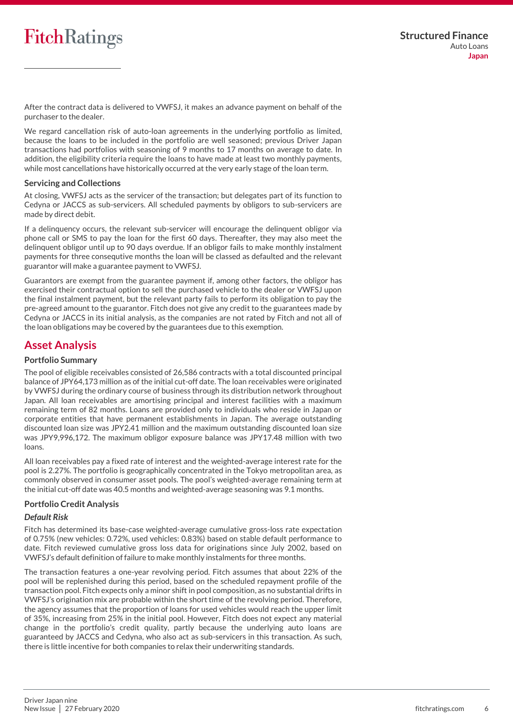After the contract data is delivered to VWFSJ, it makes an advance payment on behalf of the purchaser to the dealer.

We regard cancellation risk of auto-loan agreements in the underlying portfolio as limited, because the loans to be included in the portfolio are well seasoned; previous Driver Japan transactions had portfolios with seasoning of 9 months to 17 months on average to date. In addition, the eligibility criteria require the loans to have made at least two monthly payments, while most cancellations have historically occurred at the very early stage of the loan term.

## **Servicing and Collections**

At closing, VWFSJ acts as the servicer of the transaction; but delegates part of its function to Cedyna or JACCS as sub-servicers. All scheduled payments by obligors to sub-servicers are made by direct debit.

If a delinquency occurs, the relevant sub-servicer will encourage the delinquent obligor via phone call or SMS to pay the loan for the first 60 days. Thereafter, they may also meet the delinquent obligor until up to 90 days overdue. If an obligor fails to make monthly instalment payments for three consequtive months the loan will be classed as defaulted and the relevant guarantor will make a guarantee payment to VWFSJ.

Guarantors are exempt from the guarantee payment if, among other factors, the obligor has exercised their contractual option to sell the purchased vehicle to the dealer or VWFSJ upon the final instalment payment, but the relevant party fails to perform its obligation to pay the pre-agreed amount to the guarantor. Fitch does not give any credit to the guarantees made by Cedyna or JACCS in its initial analysis, as the companies are not rated by Fitch and not all of the loan obligations may be covered by the guarantees due to this exemption.

# <span id="page-5-0"></span>**Asset Analysis**

## **Portfolio Summary**

The pool of eligible receivables consisted of 26,586 contracts with a total discounted principal balance of JPY64,173 million as of the initial cut-off date. The loan receivables were originated by VWFSJ during the ordinary course of business through its distribution network throughout Japan. All loan receivables are amortising principal and interest facilities with a maximum remaining term of 82 months. Loans are provided only to individuals who reside in Japan or corporate entities that have permanent establishments in Japan. The average outstanding discounted loan size was JPY2.41 million and the maximum outstanding discounted loan size was JPY9,996,172. The maximum obligor exposure balance was JPY17.48 million with two loans.

All loan receivables pay a fixed rate of interest and the weighted-average interest rate for the pool is 2.27%. The portfolio is geographically concentrated in the Tokyo metropolitan area, as commonly observed in consumer asset pools. The pool's weighted-average remaining term at the initial cut-off date was 40.5 months and weighted-average seasoning was 9.1 months.

## **Portfolio Credit Analysis**

## *Default Risk*

Fitch has determined its base-case weighted-average cumulative gross-loss rate expectation of 0.75% (new vehicles: 0.72%, used vehicles: 0.83%) based on stable default performance to date. Fitch reviewed cumulative gross loss data for originations since July 2002, based on VWFSJ's default definition of failure to make monthly instalments for three months.

The transaction features a one-year revolving period. Fitch assumes that about 22% of the pool will be replenished during this period, based on the scheduled repayment profile of the transaction pool. Fitch expects only a minor shift in pool composition, as no substantial drifts in VWFSJ's origination mix are probable within the short time of the revolving period. Therefore, the agency assumes that the proportion of loans for used vehicles would reach the upper limit of 35%, increasing from 25% in the initial pool. However, Fitch does not expect any material change in the portfolio's credit quality, partly because the underlying auto loans are guaranteed by JACCS and Cedyna, who also act as sub-servicers in this transaction. As such, there is little incentive for both companies to relax their underwriting standards.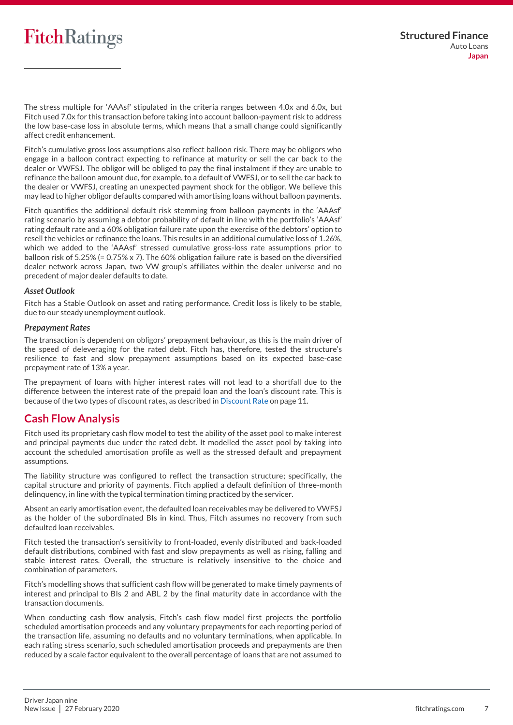The stress multiple for 'AAAsf' stipulated in the criteria ranges between 4.0x and 6.0x, but Fitch used 7.0x for this transaction before taking into account balloon-payment risk to address the low base-case loss in absolute terms, which means that a small change could significantly affect credit enhancement.

Fitch's cumulative gross loss assumptions also reflect balloon risk. There may be obligors who engage in a balloon contract expecting to refinance at maturity or sell the car back to the dealer or VWFSJ. The obligor will be obliged to pay the final instalment if they are unable to refinance the balloon amount due, for example, to a default of VWFSJ, or to sell the car back to the dealer or VWFSJ, creating an unexpected payment shock for the obligor. We believe this may lead to higher obligor defaults compared with amortising loans without balloon payments.

Fitch quantifies the additional default risk stemming from balloon payments in the 'AAAsf' rating scenario by assuming a debtor probability of default in line with the portfolio's 'AAAsf' rating default rate and a 60% obligation failure rate upon the exercise of the debtors' option to resell the vehicles or refinance the loans. This results in an additional cumulative loss of 1.26%, which we added to the 'AAAsf' stressed cumulative gross-loss rate assumptions prior to balloon risk of 5.25% (= 0.75% x 7). The 60% obligation failure rate is based on the diversified dealer network across Japan, two VW group's affiliates within the dealer universe and no precedent of major dealer defaults to date.

#### *Asset Outlook*

Fitch has a Stable Outlook on asset and rating performance. Credit loss is likely to be stable, due to our steady unemployment outlook.

#### *Prepayment Rates*

The transaction is dependent on obligors' prepayment behaviour, as this is the main driver of the speed of deleveraging for the rated debt. Fitch has, therefore, tested the structure's resilience to fast and slow prepayment assumptions based on its expected base-case prepayment rate of 13% a year.

The prepayment of loans with higher interest rates will not lead to a shortfall due to the difference between the interest rate of the prepaid loan and the loan's discount rate. This is because of the two types of discount rates, as described in [Discount Rate](#page-10-0) on page 11.

# <span id="page-6-0"></span>**Cash Flow Analysis**

Fitch used its proprietary cash flow model to test the ability of the asset pool to make interest and principal payments due under the rated debt. It modelled the asset pool by taking into account the scheduled amortisation profile as well as the stressed default and prepayment assumptions.

The liability structure was configured to reflect the transaction structure; specifically, the capital structure and priority of payments. Fitch applied a default definition of three-month delinquency, in line with the typical termination timing practiced by the servicer.

Absent an early amortisation event, the defaulted loan receivables may be delivered to VWFSJ as the holder of the subordinated BIs in kind. Thus, Fitch assumes no recovery from such defaulted loan receivables.

Fitch tested the transaction's sensitivity to front-loaded, evenly distributed and back-loaded default distributions, combined with fast and slow prepayments as well as rising, falling and stable interest rates. Overall, the structure is relatively insensitive to the choice and combination of parameters.

Fitch's modelling shows that sufficient cash flow will be generated to make timely payments of interest and principal to BIs 2 and ABL 2 by the final maturity date in accordance with the transaction documents.

When conducting cash flow analysis, Fitch's cash flow model first projects the portfolio scheduled amortisation proceeds and any voluntary prepayments for each reporting period of the transaction life, assuming no defaults and no voluntary terminations, when applicable. In each rating stress scenario, such scheduled amortisation proceeds and prepayments are then reduced by a scale factor equivalent to the overall percentage of loans that are not assumed to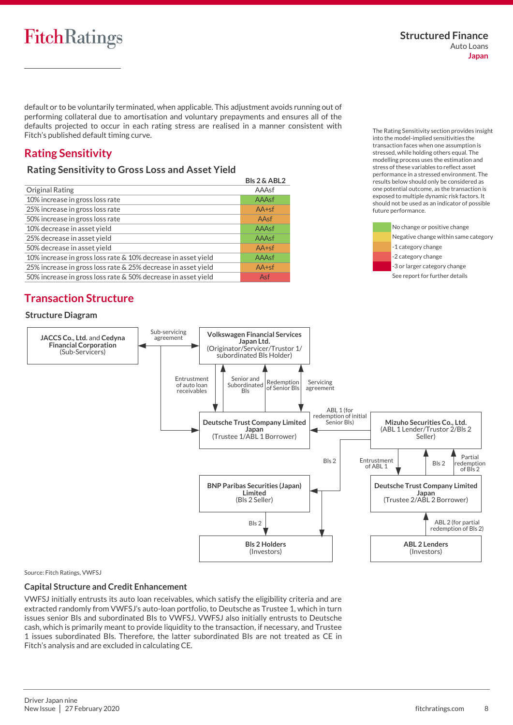The Rating Sensitivity section provides insight into the model-implied sensitivities the transaction faces when one assumption is stressed, while holding others equal. The modelling process uses the estimation and stress of these variables to reflect asset performance in a stressed environment. The results below should only be considered as one potential outcome, as the transaction is exposed to multiple dynamic risk factors. It should not be used as an indicator of possible

> No change or positive change Negative change within same category

-1 category change -2 category change

future performance.

default or to be voluntarily terminated, when applicable. This adjustment avoids running out of performing collateral due to amortisation and voluntary prepayments and ensures all of the defaults projected to occur in each rating stress are realised in a manner consistent with Fitch's published default timing curve.

# <span id="page-7-0"></span>**Rating Sensitivity**

# **Rating Sensitivity to Gross Loss and Asset Yield**

|                                                               | <b>BIs 2 &amp; ABL2</b> |
|---------------------------------------------------------------|-------------------------|
| Original Rating                                               | AAAsf                   |
| 10% increase in gross loss rate                               | AAAsf                   |
| 25% increase in gross loss rate                               | $AA+sf$                 |
| 50% increase in gross loss rate                               | AAsf                    |
| 10% decrease in asset yield                                   | AAAsf                   |
| 25% decrease in asset yield                                   | AAAsf                   |
| 50% decrease in asset yield                                   | $AA+sf$                 |
| 10% increase in gross loss rate & 10% decrease in asset yield | AAAsf                   |
| 25% increase in gross loss rate & 25% decrease in asset yield | $AA+sf$                 |
| 50% increase in gross loss rate & 50% decrease in asset yield | Asf                     |

Sub-servicing

# <span id="page-7-1"></span>**Transaction Structure**

# **Structure Diagram**





#### Source: Fitch Ratings, VWFSJ

## **Capital Structure and Credit Enhancement**

VWFSJ initially entrusts its auto loan receivables, which satisfy the eligibility criteria and are extracted randomly from VWFSJ's auto-loan portfolio, to Deutsche as Trustee 1, which in turn issues senior BIs and subordinated BIs to VWFSJ. VWFSJ also initially entrusts to Deutsche cash, which is primarily meant to provide liquidity to the transaction, if necessary, and Trustee 1 issues subordinated BIs. Therefore, the latter subordinated BIs are not treated as CE in Fitch's analysis and are excluded in calculating CE.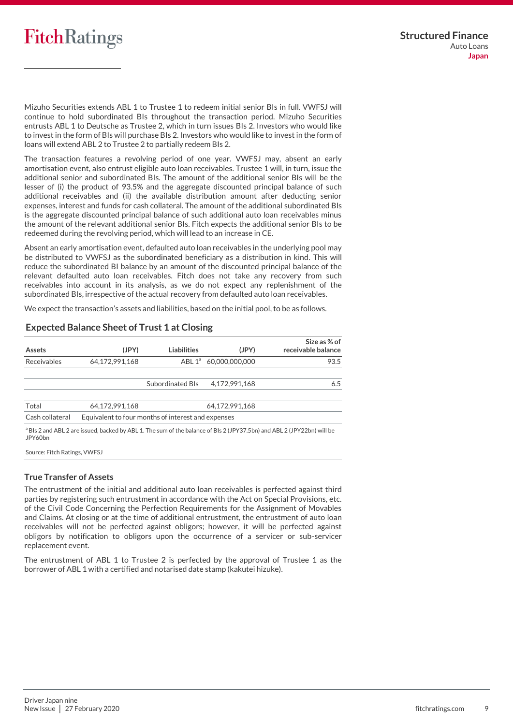Mizuho Securities extends ABL 1 to Trustee 1 to redeem initial senior BIs in full. VWFSJ will continue to hold subordinated BIs throughout the transaction period. Mizuho Securities entrusts ABL 1 to Deutsche as Trustee 2, which in turn issues BIs 2. Investors who would like to invest in the form of BIs will purchase BIs 2. Investors who would like to invest in the form of loans will extend ABL 2 to Trustee 2 to partially redeem BIs 2.

The transaction features a revolving period of one year. VWFSJ may, absent an early amortisation event, also entrust eligible auto loan receivables. Trustee 1 will, in turn, issue the additional senior and subordinated BIs. The amount of the additional senior BIs will be the lesser of (i) the product of 93.5% and the aggregate discounted principal balance of such additional receivables and (ii) the available distribution amount after deducting senior expenses, interest and funds for cash collateral. The amount of the additional subordinated BIs is the aggregate discounted principal balance of such additional auto loan receivables minus the amount of the relevant additional senior BIs. Fitch expects the additional senior BIs to be redeemed during the revolving period, which will lead to an increase in CE.

Absent an early amortisation event, defaulted auto loan receivables in the underlying pool may be distributed to VWFSJ as the subordinated beneficiary as a distribution in kind. This will reduce the subordinated BI balance by an amount of the discounted principal balance of the relevant defaulted auto loan receivables. Fitch does not take any recovery from such receivables into account in its analysis, as we do not expect any replenishment of the subordinated BIs, irrespective of the actual recovery from defaulted auto loan receivables.

We expect the transaction's assets and liabilities, based on the initial pool, to be as follows.

| Assets                                                                                                 | (JPY)                                              | <b>Liabilities</b> | (JPY)                             | Size as % of<br>receivable balance |  |
|--------------------------------------------------------------------------------------------------------|----------------------------------------------------|--------------------|-----------------------------------|------------------------------------|--|
| Receivables                                                                                            | 64,172,991,168                                     |                    | ABL 1 <sup>ª</sup> 60,000,000,000 | 93.5                               |  |
|                                                                                                        |                                                    | Subordinated BIs   | 4.172.991.168                     | 6.5                                |  |
| Total                                                                                                  | 64.172.991.168                                     |                    | 64.172.991.168                    |                                    |  |
| Cash collateral                                                                                        | Equivalent to four months of interest and expenses |                    |                                   |                                    |  |
| $\mathbf{a} = \mathbf{b} \quad \mathbf{b} = \mathbf{c} \quad \mathbf{c} = \mathbf{c} \quad \mathbf{c}$ |                                                    |                    |                                   |                                    |  |

# **Expected Balance Sheet of Trust 1 at Closing**

<sup>a</sup> BIs 2 and ABL 2 are issued, backed by ABL 1. The sum of the balance of BIs 2 (JPY37.5bn) and ABL 2 (JPY22bn) will be JPY60bn

Source: Fitch Ratings, VWFSJ

## **True Transfer of Assets**

The entrustment of the initial and additional auto loan receivables is perfected against third parties by registering such entrustment in accordance with the Act on Special Provisions, etc. of the Civil Code Concerning the Perfection Requirements for the Assignment of Movables and Claims. At closing or at the time of additional entrustment, the entrustment of auto loan receivables will not be perfected against obligors; however, it will be perfected against obligors by notification to obligors upon the occurrence of a servicer or sub-servicer replacement event.

The entrustment of ABL 1 to Trustee 2 is perfected by the approval of Trustee 1 as the borrower of ABL 1 with a certified and notarised date stamp (kakutei hizuke).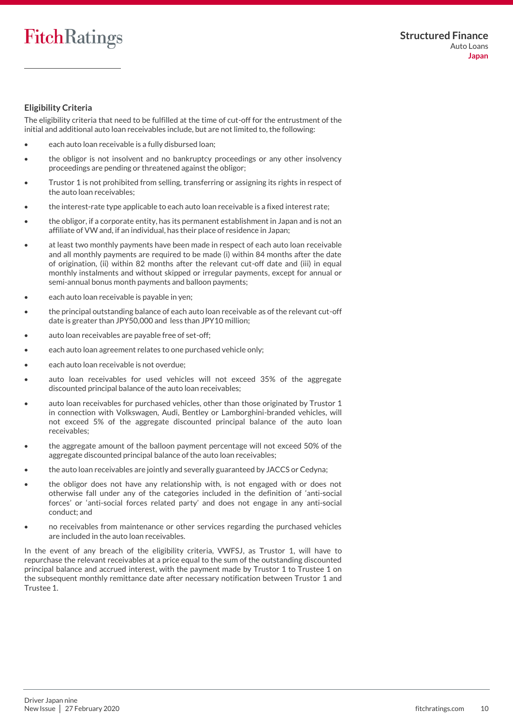## **Eligibility Criteria**

The eligibility criteria that need to be fulfilled at the time of cut-off for the entrustment of the initial and additional auto loan receivables include, but are not limited to, the following:

- each auto loan receivable is a fully disbursed loan;
- the obligor is not insolvent and no bankruptcy proceedings or any other insolvency proceedings are pending or threatened against the obligor;
- Trustor 1 is not prohibited from selling, transferring or assigning its rights in respect of the auto loan receivables;
- the interest-rate type applicable to each auto loan receivable is a fixed interest rate;
- the obligor, if a corporate entity, has its permanent establishment in Japan and is not an affiliate of VW and, if an individual, has their place of residence in Japan;
- at least two monthly payments have been made in respect of each auto loan receivable and all monthly payments are required to be made (i) within 84 months after the date of origination, (ii) within 82 months after the relevant cut-off date and (iii) in equal monthly instalments and without skipped or irregular payments, except for annual or semi-annual bonus month payments and balloon payments;
- each auto loan receivable is payable in yen;
- the principal outstanding balance of each auto loan receivable as of the relevant cut-off date is greater than JPY50,000 and less than JPY10 million;
- auto loan receivables are payable free of set-off;
- each auto loan agreement relates to one purchased vehicle only;
- each auto loan receivable is not overdue;
- auto loan receivables for used vehicles will not exceed 35% of the aggregate discounted principal balance of the auto loan receivables;
- auto loan receivables for purchased vehicles, other than those originated by Trustor 1 in connection with Volkswagen, Audi, Bentley or Lamborghini-branded vehicles, will not exceed 5% of the aggregate discounted principal balance of the auto loan receivables;
- the aggregate amount of the balloon payment percentage will not exceed 50% of the aggregate discounted principal balance of the auto loan receivables;
- the auto loan receivables are jointly and severally guaranteed by JACCS or Cedyna;
- the obligor does not have any relationship with, is not engaged with or does not otherwise fall under any of the categories included in the definition of 'anti-social forces' or 'anti-social forces related party' and does not engage in any anti-social conduct; and
- no receivables from maintenance or other services regarding the purchased vehicles are included in the auto loan receivables.

In the event of any breach of the eligibility criteria, VWFSJ, as Trustor 1, will have to repurchase the relevant receivables at a price equal to the sum of the outstanding discounted principal balance and accrued interest, with the payment made by Trustor 1 to Trustee 1 on the subsequent monthly remittance date after necessary notification between Trustor 1 and Trustee 1.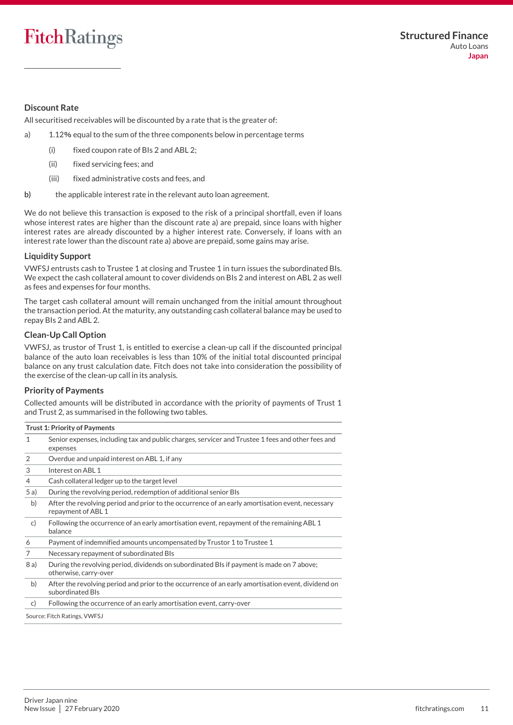# <span id="page-10-0"></span>**Discount Rate**

All securitised receivables will be discounted by a rate that is the greater of:

- a) 1.12% equal to the sum of the three components below in percentage terms
	- (i) fixed coupon rate of BIs 2 and ABL 2;
	- (ii) fixed servicing fees; and
	- (iii) fixed administrative costs and fees, and
- b) the applicable interest rate in the relevant auto loan agreement.

We do not believe this transaction is exposed to the risk of a principal shortfall, even if loans whose interest rates are higher than the discount rate a) are prepaid, since loans with higher interest rates are already discounted by a higher interest rate. Conversely, if loans with an interest rate lower than the discount rate a) above are prepaid, some gains may arise.

## **Liquidity Support**

VWFSJ entrusts cash to Trustee 1 at closing and Trustee 1 in turn issues the subordinated BIs. We expect the cash collateral amount to cover dividends on BIs 2 and interest on ABL 2 as well as fees and expenses for four months.

The target cash collateral amount will remain unchanged from the initial amount throughout the transaction period. At the maturity, any outstanding cash collateral balance may be used to repay BIs 2 and ABL 2.

## **Clean-Up Call Option**

VWFSJ, as trustor of Trust 1, is entitled to exercise a clean-up call if the discounted principal balance of the auto loan receivables is less than 10% of the initial total discounted principal balance on any trust calculation date. Fitch does not take into consideration the possibility of the exercise of the clean-up call in its analysis.

#### **Priority of Payments**

Collected amounts will be distributed in accordance with the priority of payments of Trust 1 and Trust 2, as summarised in the following two tables.

<span id="page-10-1"></span>

|      | <b>Trust 1: Priority of Payments</b>                                                                                   |
|------|------------------------------------------------------------------------------------------------------------------------|
| 1    | Senior expenses, including tax and public charges, servicer and Trustee 1 fees and other fees and<br>expenses          |
| 2    | Overdue and unpaid interest on ABL 1, if any                                                                           |
| 3    | Interest on ABL 1                                                                                                      |
| 4    | Cash collateral ledger up to the target level                                                                          |
| 5a)  | During the revolving period, redemption of additional senior BIs                                                       |
| b)   | After the revolving period and prior to the occurrence of an early amortisation event, necessary<br>repayment of ABL 1 |
| c)   | Following the occurrence of an early amortisation event, repayment of the remaining ABL 1<br>balance                   |
| 6    | Payment of indemnified amounts uncompensated by Trustor 1 to Trustee 1                                                 |
| 7    | Necessary repayment of subordinated BIs                                                                                |
| 8 a) | During the revolving period, dividends on subordinated BIs if payment is made on 7 above;<br>otherwise, carry-over     |
| b)   | After the revolving period and prior to the occurrence of an early amortisation event, dividend on<br>subordinated BIs |
| C)   | Following the occurrence of an early amortisation event, carry-over                                                    |
|      | Source: Fitch Ratings, VWFSJ                                                                                           |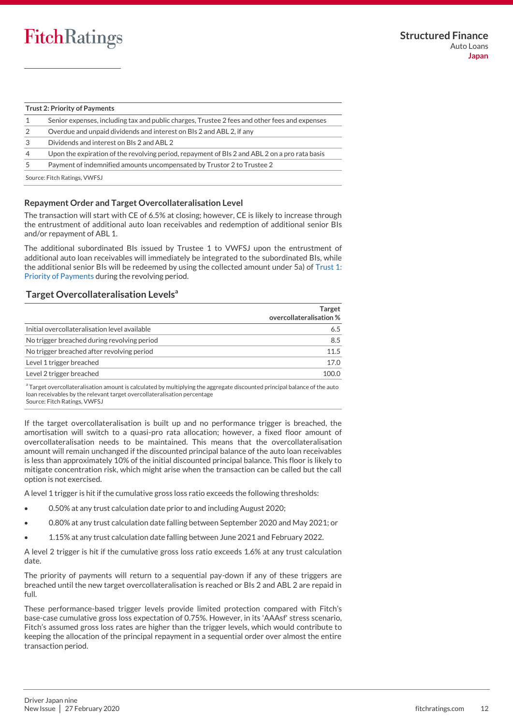#### **Trust 2: Priority of Payments**

- 1 Senior expenses, including tax and public charges, Trustee 2 fees and other fees and expenses
- 2 Overdue and unpaid dividends and interest on BIs 2 and ABL 2, if any
- 3 Dividends and interest on BIs 2 and ABL 2
- 4 Upon the expiration of the revolving period, repayment of BIs 2 and ABL 2 on a pro rata basis

5 Payment of indemnified amounts uncompensated by Trustor 2 to Trustee 2

Source: Fitch Ratings, VWFSJ

## **Repayment Order and Target Overcollateralisation Level**

The transaction will start with CE of 6.5% at closing; however, CE is likely to increase through the entrustment of additional auto loan receivables and redemption of additional senior BIs and/or repayment of ABL 1.

The additional subordinated BIs issued by Trustee 1 to VWFSJ upon the entrustment of additional auto loan receivables will immediately be integrated to the subordinated BIs, while the additional senior BIs will be redeemed by using the collected amount under 5a) of [Trust 1:](#page-10-1)  [Priority of Payments](#page-10-1) during the revolving period.

# **Target Overcollateralisation Levels<sup>a</sup>**

|                                               | <b>Target</b><br>overcollateralisation % |
|-----------------------------------------------|------------------------------------------|
| Initial overcollateralisation level available | 6.5                                      |
| No trigger breached during revolving period   | 8.5                                      |
| No trigger breached after revolving period    | 11.5                                     |
| Level 1 trigger breached                      | 17.0                                     |
| Level 2 trigger breached                      | 100.0                                    |
|                                               |                                          |

a Target overcollateralisation amount is calculated by multiplying the aggregate discounted principal balance of the auto loan receivables by the relevant target overcollateralisation percentage Source: Fitch Ratings, VWFSJ

If the target overcollateralisation is built up and no performance trigger is breached, the amortisation will switch to a quasi-pro rata allocation; however, a fixed floor amount of overcollateralisation needs to be maintained. This means that the overcollateralisation amount will remain unchanged if the discounted principal balance of the auto loan receivables is less than approximately 10% of the initial discounted principal balance. This floor is likely to mitigate concentration risk, which might arise when the transaction can be called but the call option is not exercised.

A level 1 trigger is hit if the cumulative gross loss ratio exceeds the following thresholds:

- 0.50% at any trust calculation date prior to and including August 2020;
- 0.80% at any trust calculation date falling between September 2020 and May 2021; or
- 1.15% at any trust calculation date falling between June 2021 and February 2022.

A level 2 trigger is hit if the cumulative gross loss ratio exceeds 1.6% at any trust calculation date.

The priority of payments will return to a sequential pay-down if any of these triggers are breached until the new target overcollateralisation is reached or BIs 2 and ABL 2 are repaid in full.

These performance-based trigger levels provide limited protection compared with Fitch's base-case cumulative gross loss expectation of 0.75%. However, in its 'AAAsf' stress scenario, Fitch's assumed gross loss rates are higher than the trigger levels, which would contribute to keeping the allocation of the principal repayment in a sequential order over almost the entire transaction period.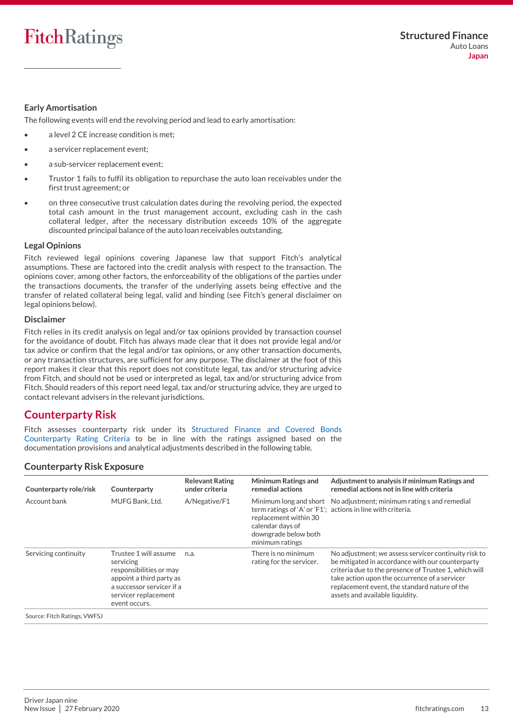## **Early Amortisation**

The following events will end the revolving period and lead to early amortisation:

- a level 2 CE increase condition is met;
- a servicer replacement event;
- a sub-servicer replacement event;
- Trustor 1 fails to fulfil its obligation to repurchase the auto loan receivables under the first trust agreement; or
- on three consecutive trust calculation dates during the revolving period, the expected total cash amount in the trust management account, excluding cash in the cash collateral ledger, after the necessary distribution exceeds 10% of the aggregate discounted principal balance of the auto loan receivables outstanding.

#### **Legal Opinions**

Fitch reviewed legal opinions covering Japanese law that support Fitch's analytical assumptions. These are factored into the credit analysis with respect to the transaction. The opinions cover, among other factors, the enforceability of the obligations of the parties under the transactions documents, the transfer of the underlying assets being effective and the transfer of related collateral being legal, valid and binding (see Fitch's general disclaimer on legal opinions below).

#### **Disclaimer**

Fitch relies in its credit analysis on legal and/or tax opinions provided by transaction counsel for the avoidance of doubt. Fitch has always made clear that it does not provide legal and/or tax advice or confirm that the legal and/or tax opinions, or any other transaction documents, or any transaction structures, are sufficient for any purpose. The disclaimer at the foot of this report makes it clear that this report does not constitute legal, tax and/or structuring advice from Fitch, and should not be used or interpreted as legal, tax and/or structuring advice from Fitch. Should readers of this report need legal, tax and/or structuring advice, they are urged to contact relevant advisers in the relevant jurisdictions.

# <span id="page-12-0"></span>**Counterparty Risk**

Fitch assesses counterparty risk under its [Structured Finance and Covered Bonds](https://app.fitchconnect.com/search/research/article/RPT_10108544)  [Counterparty Rating Criteria](https://app.fitchconnect.com/search/research/article/RPT_10108544) to be in line with the ratings assigned based on the documentation provisions and analytical adjustments described in the following table.

# **Counterparty Risk Exposure**

| Counterparty role/risk       | Counterparty                                                                                                                                                    | <b>Relevant Rating</b><br>under criteria | <b>Minimum Ratings and</b><br>remedial actions                                       | Adjustment to analysis if minimum Ratings and<br>remedial actions not in line with criteria                                                                                                                                                                                                            |
|------------------------------|-----------------------------------------------------------------------------------------------------------------------------------------------------------------|------------------------------------------|--------------------------------------------------------------------------------------|--------------------------------------------------------------------------------------------------------------------------------------------------------------------------------------------------------------------------------------------------------------------------------------------------------|
| Account bank                 | MUFG Bank, Ltd.                                                                                                                                                 | A/Negative/F1                            | replacement within 30<br>calendar days of<br>downgrade below both<br>minimum ratings | Minimum long and short No adjustment; minimum rating s and remedial<br>term ratings of 'A' or 'F1'; actions in line with criteria.                                                                                                                                                                     |
| Servicing continuity         | Trustee 1 will assume<br>servicing<br>responsibilities or may<br>appoint a third party as<br>a successor servicer if a<br>servicer replacement<br>event occurs. | n.a.                                     | There is no minimum<br>rating for the servicer.                                      | No adjustment; we assess servicer continuity risk to<br>be mitigated in accordance with our counterparty<br>criteria due to the presence of Trustee 1, which will<br>take action upon the occurrence of a servicer<br>replacement event, the standard nature of the<br>assets and available liquidity. |
| Source: Fitch Ratings, VWFSJ |                                                                                                                                                                 |                                          |                                                                                      |                                                                                                                                                                                                                                                                                                        |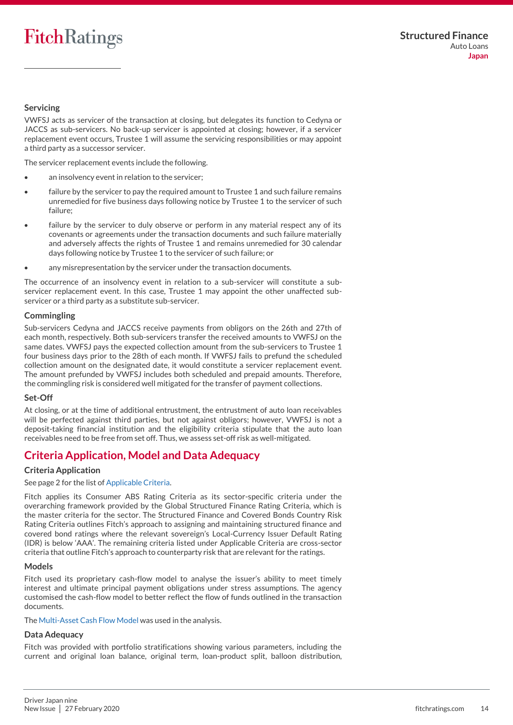# **Servicing**

VWFSJ acts as servicer of the transaction at closing, but delegates its function to Cedyna or JACCS as sub-servicers. No back-up servicer is appointed at closing; however, if a servicer replacement event occurs, Trustee 1 will assume the servicing responsibilities or may appoint a third party as a successor servicer.

The servicer replacement events include the following.

- an insolvency event in relation to the servicer;
- failure by the servicer to pay the required amount to Trustee 1 and such failure remains unremedied for five business days following notice by Trustee 1 to the servicer of such failure;
- failure by the servicer to duly observe or perform in any material respect any of its covenants or agreements under the transaction documents and such failure materially and adversely affects the rights of Trustee 1 and remains unremedied for 30 calendar days following notice by Trustee 1 to the servicer of such failure; or
- any misrepresentation by the servicer under the transaction documents.

The occurrence of an insolvency event in relation to a sub-servicer will constitute a subservicer replacement event. In this case, Trustee 1 may appoint the other unaffected subservicer or a third party as a substitute sub-servicer.

## **Commingling**

Sub-servicers Cedyna and JACCS receive payments from obligors on the 26th and 27th of each month, respectively. Both sub-servicers transfer the received amounts to VWFSJ on the same dates. VWFSJ pays the expected collection amount from the sub-servicers to Trustee 1 four business days prior to the 28th of each month. If VWFSJ fails to prefund the scheduled collection amount on the designated date, it would constitute a servicer replacement event. The amount prefunded by VWFSJ includes both scheduled and prepaid amounts. Therefore, the commingling risk is considered well mitigated for the transfer of payment collections.

## **Set-Off**

At closing, or at the time of additional entrustment, the entrustment of auto loan receivables will be perfected against third parties, but not against obligors; however, VWFSJ is not a deposit-taking financial institution and the eligibility criteria stipulate that the auto loan receivables need to be free from set off. Thus, we assess set-off risk as well-mitigated.

# <span id="page-13-0"></span>**Criteria Application, Model and Data Adequacy**

# **Criteria Application**

## See page 2 for the list o[f Applicable Criteria.](#page-1-1)

Fitch applies its Consumer ABS Rating Criteria as its sector-specific criteria under the overarching framework provided by the Global Structured Finance Rating Criteria, which is the master criteria for the sector. The Structured Finance and Covered Bonds Country Risk Rating Criteria outlines Fitch's approach to assigning and maintaining structured finance and covered bond ratings where the relevant sovereign's Local-Currency Issuer Default Rating (IDR) is below 'AAA'. The remaining criteria listed under Applicable Criteria are cross-sector criteria that outline Fitch's approach to counterparty risk that are relevant for the ratings.

## **Models**

Fitch used its proprietary cash-flow model to analyse the issuer's ability to meet timely interest and ultimate principal payment obligations under stress assumptions. The agency customised the cash-flow model to better reflect the flow of funds outlined in the transaction documents.

The [Multi-Asset Cash Flow Model](https://www.fitchratings.com/site/structuredfinance/emeacfm) was used in the analysis.

# **Data Adequacy**

Fitch was provided with portfolio stratifications showing various parameters, including the current and original loan balance, original term, loan-product split, balloon distribution,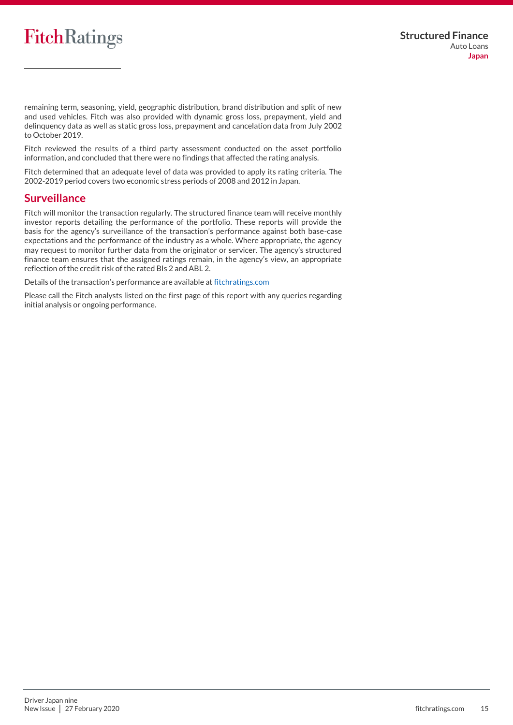remaining term, seasoning, yield, geographic distribution, brand distribution and split of new and used vehicles. Fitch was also provided with dynamic gross loss, prepayment, yield and delinquency data as well as static gross loss, prepayment and cancelation data from July 2002 to October 2019.

Fitch reviewed the results of a third party assessment conducted on the asset portfolio information, and concluded that there were no findings that affected the rating analysis.

Fitch determined that an adequate level of data was provided to apply its rating criteria. The 2002-2019 period covers two economic stress periods of 2008 and 2012 in Japan.

# <span id="page-14-0"></span>**Surveillance**

Fitch will monitor the transaction regularly. The structured finance team will receive monthly investor reports detailing the performance of the portfolio. These reports will provide the basis for the agency's surveillance of the transaction's performance against both base-case expectations and the performance of the industry as a whole. Where appropriate, the agency may request to monitor further data from the originator or servicer. The agency's structured finance team ensures that the assigned ratings remain, in the agency's view, an appropriate reflection of the credit risk of the rated BIs 2 and ABL 2.

Details of the transaction's performance are available at [fitchratings.com](https://www.fitchratings.com/site/home)

Please call the Fitch analysts listed on the first page of this report with any queries regarding initial analysis or ongoing performance.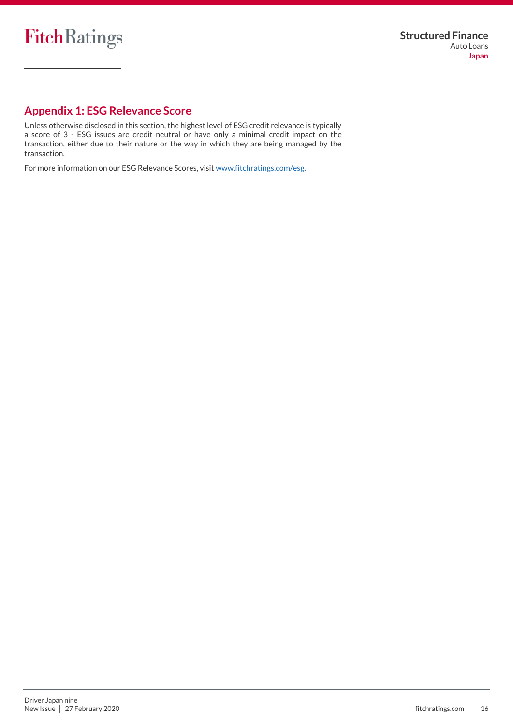

# <span id="page-15-0"></span>**Appendix 1: ESG Relevance Score**

Unless otherwise disclosed in this section, the highest level of ESG credit relevance is typically a score of 3 - ESG issues are credit neutral or have only a minimal credit impact on the transaction, either due to their nature or the way in which they are being managed by the transaction.

For more information on our ESG Relevance Scores, visi[t www.fitchratings.com/esg.](http://www.fitchratings.com/esg)